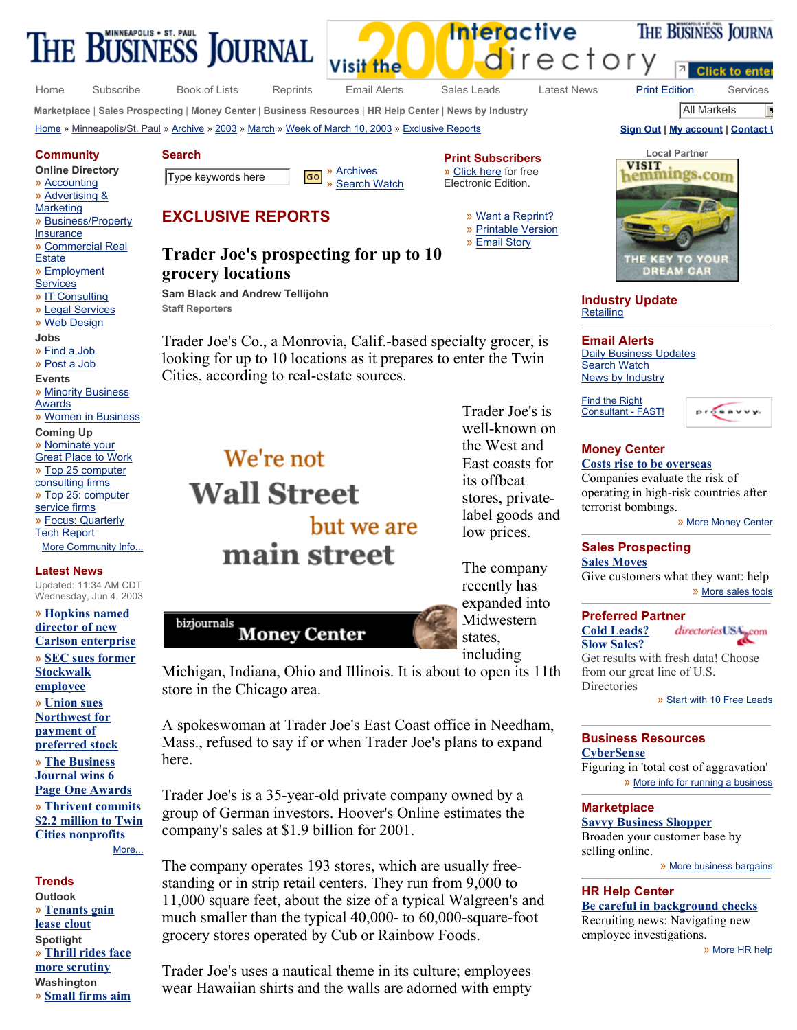

Visit the

directory

Home Subscribe Book of Lists Reprints Email Alerts Sales Leads Latest News Print Edition Services

THE BUSINESS JOURNA

**Marketplace** | **Sales Prospecting** | **Money Center** | **Business Resources** | **HR Help Center** | **News by Industry** All Markets ×

Home » Minneapolis/St. Paul » Archive » 2003 » March » Week of March 10, 2003 » Exclusive Reports **Sign Out | My account | Contact U**



**Industry Update Retailing** 

**Email Alerts** Daily Business Updates **Search Watch** News by Industry

Find the Right Consultant - FAST!



#### **Money Center Costs rise to be overseas**

Companies evaluate the risk of operating in high-risk countries after terrorist bombings.

» More Money Center

## **Sales Prospecting**

**Sales Moves** Give customers what they want: help » More sales tools

#### **Preferred Partner**

directoriesUSA<sub>pcom</sub> **Cold Leads? Slow Sales?** Get results with fresh data! Choose from our great line of U.S. Directories

» Start with 10 Free Leads

## **Business Resources**

**CyberSense** Figuring in 'total cost of aggravation'

» More info for running a business

### **Marketplace**

**Savvy Business Shopper** Broaden your customer base by selling online.

» More business bargains

**HR Help Center**

**Be careful in background checks** Recruiting news: Navigating new employee investigations.

» More HR help

We're not **Wall Street** main street

but we are

bizjournals





Michigan, Indiana, Ohio and Illinois. It is about to open its 11th store in the Chicago area.

A spokeswoman at Trader Joe's East Coast office in Needham, Mass., refused to say if or when Trader Joe's plans to expand here.

Trader Joe's is a 35-year-old private company owned by a group of German investors. Hoover's Online estimates the company's sales at \$1.9 billion for 2001.

The company operates 193 stores, which are usually freestanding or in strip retail centers. They run from 9,000 to 11,000 square feet, about the size of a typical Walgreen's and much smaller than the typical 40,000- to 60,000-square-foot grocery stores operated by Cub or Rainbow Foods.

Trader Joe's uses a nautical theme in its culture; employees wear Hawaiian shirts and the walls are adorned with empty



» **Thrill rides face more scrutiny Washington**  » **Small firms aim** 

### **Search**

**Online Directory** 

» Accounting » Advertising &

**Community**

- **Marketing**
- » Business/Property
- Insurance
- » Commercial Real
- **Estate**
- » Employment **Services**
- » IT Consulting
- » Legal Services
- » Web Design
- **Jobs**
- » Find a Job
- » Post a Job
- **Events**
- » Minority Business Awards
- » Women in Business

#### **Coming Up**

- » Nominate your **Great Place to Work** » Top 25 computer consulting firms
- » Top 25: computer service firms » Focus: Quarterly
- Tech Report More Community Info...

#### **Latest News**

Updated: 11:34 AM CDT Wednesday, Jun 4, 2003

» **Hopkins named**  More...

**Trends Outlook**  » **Tenants gain lease clout Spotlight** 

Type keywords here **60** Secrets M » Search Watch

#### **Print Subscribers** » Click here for free Electronic Edition.

- » Want a Reprint? » Printable Version
	-

Trader Joe's is well-known on the West and East coasts for its offbeat stores, privatelabel goods and low prices.

» Email Story

**Interactive** 

**Trader Joe's prospecting for up to 10 grocery locations** 

**Sam Black and Andrew Tellijohn Staff Reporters** 

Trader Joe's Co., a Monrovia, Calif.-based specialty grocer, is looking for up to 10 locations as it prepares to enter the Twin Cities, according to real-estate sources.

# **EXCLUSIVE REPORTS**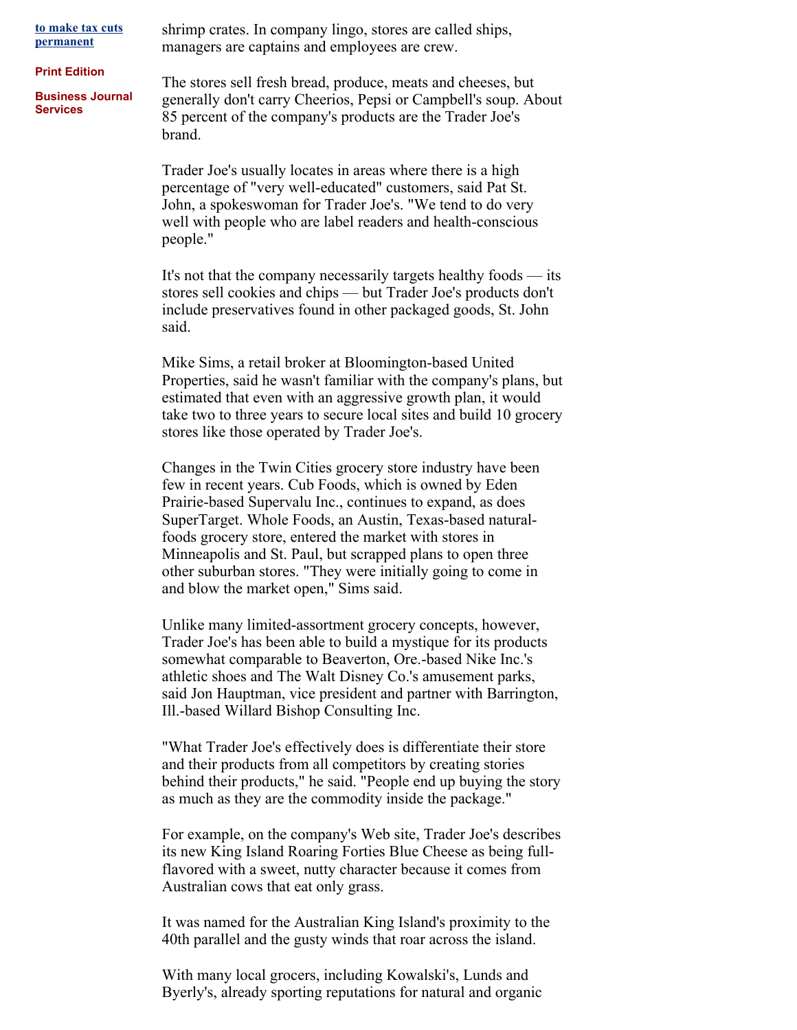**to make tax cuts permanent**

**Print Edition**

**Business Journal Services**

shrimp crates. In company lingo, stores are called ships, managers are captains and employees are crew.

The stores sell fresh bread, produce, meats and cheeses, but generally don't carry Cheerios, Pepsi or Campbell's soup. About 85 percent of the company's products are the Trader Joe's brand.

Trader Joe's usually locates in areas where there is a high percentage of "very well-educated" customers, said Pat St. John, a spokeswoman for Trader Joe's. "We tend to do very well with people who are label readers and health-conscious people."

It's not that the company necessarily targets healthy foods — its stores sell cookies and chips — but Trader Joe's products don't include preservatives found in other packaged goods, St. John said.

Mike Sims, a retail broker at Bloomington-based United Properties, said he wasn't familiar with the company's plans, but estimated that even with an aggressive growth plan, it would take two to three years to secure local sites and build 10 grocery stores like those operated by Trader Joe's.

Changes in the Twin Cities grocery store industry have been few in recent years. Cub Foods, which is owned by Eden Prairie-based Supervalu Inc., continues to expand, as does SuperTarget. Whole Foods, an Austin, Texas-based naturalfoods grocery store, entered the market with stores in Minneapolis and St. Paul, but scrapped plans to open three other suburban stores. "They were initially going to come in and blow the market open," Sims said.

Unlike many limited-assortment grocery concepts, however, Trader Joe's has been able to build a mystique for its products somewhat comparable to Beaverton, Ore.-based Nike Inc.'s athletic shoes and The Walt Disney Co.'s amusement parks, said Jon Hauptman, vice president and partner with Barrington, Ill.-based Willard Bishop Consulting Inc.

"What Trader Joe's effectively does is differentiate their store and their products from all competitors by creating stories behind their products," he said. "People end up buying the story as much as they are the commodity inside the package."

For example, on the company's Web site, Trader Joe's describes its new King Island Roaring Forties Blue Cheese as being fullflavored with a sweet, nutty character because it comes from Australian cows that eat only grass.

It was named for the Australian King Island's proximity to the 40th parallel and the gusty winds that roar across the island.

With many local grocers, including Kowalski's, Lunds and Byerly's, already sporting reputations for natural and organic